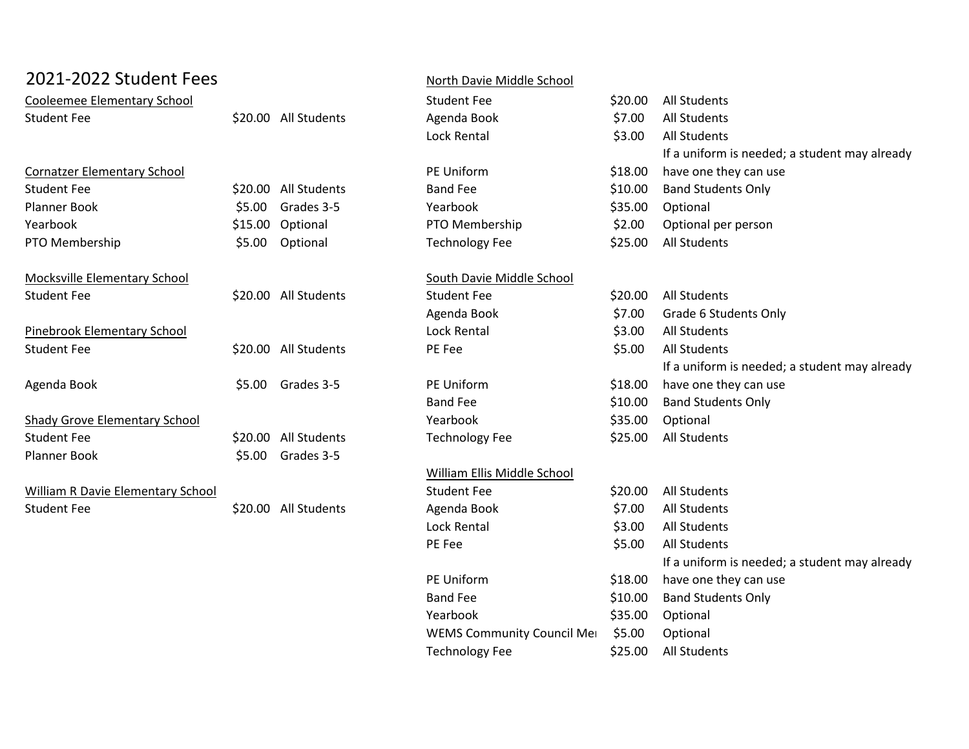| 2021-2022 Student Fees               |        |                      | North Davie Middle School   |         |                                               |  |
|--------------------------------------|--------|----------------------|-----------------------------|---------|-----------------------------------------------|--|
| <b>Cooleemee Elementary School</b>   |        |                      | <b>Student Fee</b>          | \$20.00 | <b>All Students</b>                           |  |
| <b>Student Fee</b>                   |        | \$20.00 All Students | Agenda Book                 | \$7.00  | <b>All Students</b>                           |  |
|                                      |        |                      | <b>Lock Rental</b>          | \$3.00  | <b>All Students</b>                           |  |
|                                      |        |                      |                             |         | If a uniform is needed; a student may already |  |
| <b>Cornatzer Elementary School</b>   |        |                      | PE Uniform                  | \$18.00 | have one they can use                         |  |
| <b>Student Fee</b>                   |        | \$20.00 All Students | <b>Band Fee</b>             | \$10.00 | <b>Band Students Only</b>                     |  |
| <b>Planner Book</b>                  | \$5.00 | Grades 3-5           | Yearbook                    | \$35.00 | Optional                                      |  |
| Yearbook                             |        | \$15.00 Optional     | PTO Membership              | \$2.00  | Optional per person                           |  |
| PTO Membership                       | \$5.00 | Optional             | <b>Technology Fee</b>       | \$25.00 | <b>All Students</b>                           |  |
| <b>Mocksville Elementary School</b>  |        |                      | South Davie Middle School   |         |                                               |  |
| <b>Student Fee</b>                   |        | \$20.00 All Students | <b>Student Fee</b>          | \$20.00 | All Students                                  |  |
|                                      |        |                      | Agenda Book                 | \$7.00  | Grade 6 Students Only                         |  |
| Pinebrook Elementary School          |        |                      | <b>Lock Rental</b>          | \$3.00  | <b>All Students</b>                           |  |
| <b>Student Fee</b>                   |        | \$20.00 All Students | PE Fee                      | \$5.00  | <b>All Students</b>                           |  |
|                                      |        |                      |                             |         | If a uniform is needed; a student may already |  |
| Agenda Book                          | \$5.00 | Grades 3-5           | PE Uniform                  | \$18.00 | have one they can use                         |  |
|                                      |        |                      | <b>Band Fee</b>             | \$10.00 | <b>Band Students Only</b>                     |  |
| <b>Shady Grove Elementary School</b> |        |                      | Yearbook                    | \$35.00 | Optional                                      |  |
| <b>Student Fee</b>                   |        | \$20.00 All Students | <b>Technology Fee</b>       | \$25.00 | <b>All Students</b>                           |  |
| Planner Book                         | \$5.00 | Grades 3-5           |                             |         |                                               |  |
|                                      |        |                      | William Ellis Middle School |         |                                               |  |
| William R Davie Elementary School    |        |                      | <b>Student Fee</b>          | \$20.00 | <b>All Students</b>                           |  |
| <b>Student Fee</b>                   |        | \$20.00 All Students | Agenda Book                 | \$7.00  | <b>All Students</b>                           |  |
|                                      |        |                      | Lock Rental                 | \$3.00  | <b>All Students</b>                           |  |
|                                      |        |                      | PE Fee                      | \$5.00  | <b>All Students</b>                           |  |
|                                      |        |                      |                             |         | If a uniform is needed; a student may already |  |
|                                      |        |                      | PE Uniform                  | \$18.00 | have one they can use                         |  |
|                                      |        |                      | <b>Band Fee</b>             | \$10.00 | <b>Band Students Only</b>                     |  |
|                                      |        |                      | Yearbook                    | \$35.00 | Optional                                      |  |
|                                      |        |                      | WEMS Community Council Mer  | \$5.00  | Optional                                      |  |
|                                      |        |                      | <b>Technology Fee</b>       | \$25.00 | <b>All Students</b>                           |  |